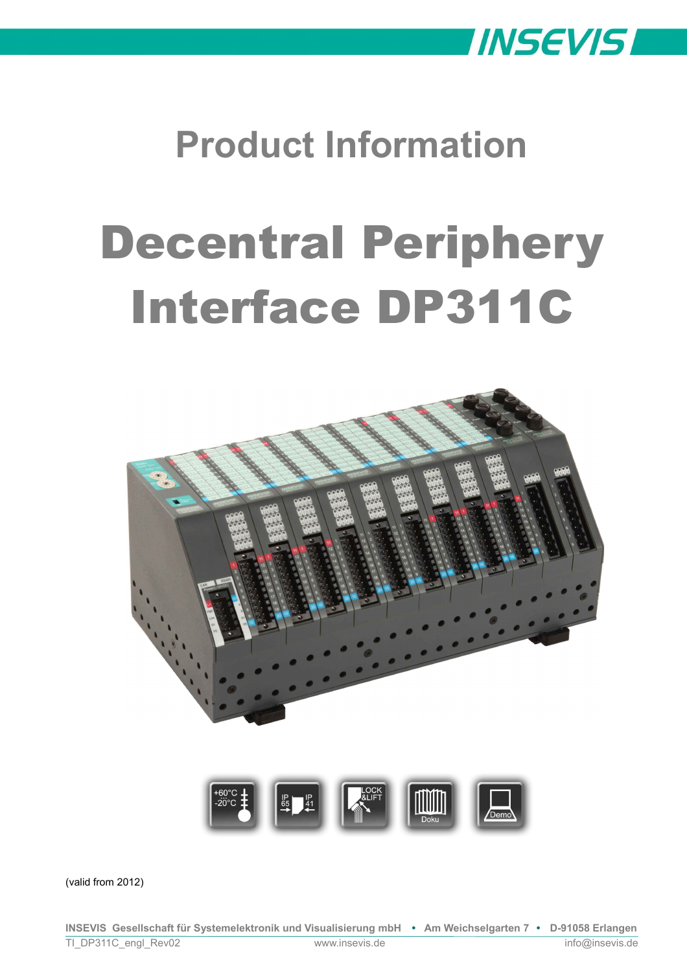

## **Product Information**

# Decentral Periphery Interface DP311C





(valid from 2012)

**INSEVIS Gesellschaft für Systemelektronik und Visualisierung mbH • Am Weichselgarten 7 • D-91058 Erlangen** TI\_DP311C\_engl\_Rev02 www.insevis.de info@insevis.de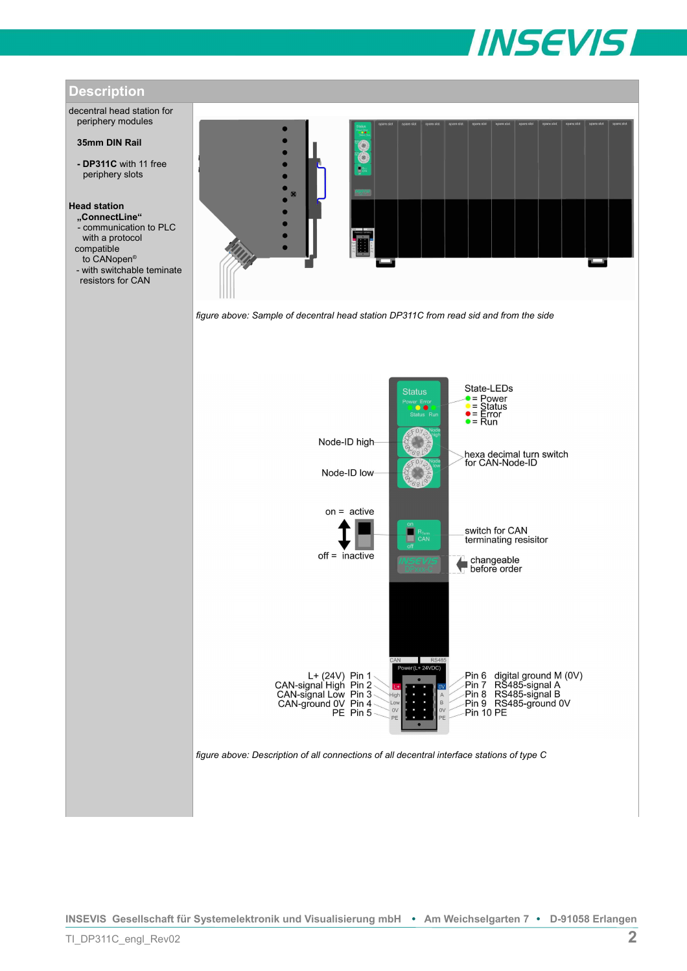

### **Description**

decentral head station for periphery modules

#### **35mm DIN Rail**

**- DP311C** with 11 free periphery slots

#### **Head station**

- **"ConnectLine"** - communication to PLC with a protocol
- compatible
- to CANopen®
- with switchable teminate resistors for CAN



**INSEVIS Gesellschaft für Systemelektronik und Visualisierung mbH • Am Weichselgarten 7 • D-91058 Erlangen**